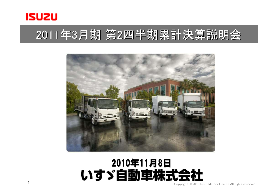

1

## 2011年3月期 第2四半期累計決算説明会



#### 2010年11月8日いすゞ自動車株式会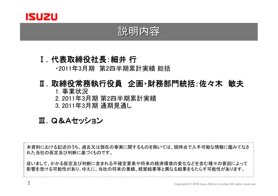

#### 説明内容

### Ⅰ. 代表取締役社長:細井 行<br>·<sup>9011年3月期 第2四半期累</sup>

・2011年3月期 第2四半期累計実績 総括

### Ⅱ. 取締役常務執行役員 企画•財務部門統括:佐々木 敏夫<br>1 事業状況

1. 事業状況2. 2011年3月期 第2四半期累計実績<br>3. 2011年3月期 通期見通L. 3. 2011年3月期 通期見通し

#### Ⅲ.Q&Aセッション

本資料における記述のうち、過去又は現在の事実に関するものを除いては、現時点で入手可能な情報に鑑みてなされた当社の仮定及び判断に基づくものです。従いまして、かかる仮定及び判断に含まれる不確定要素や将来の経済環境の変化などを含む種々の要因によって影響を受ける可能性があり、ゆえに、当社の将来の業績、経営結果等と異なる結果をもたらす可能性があります。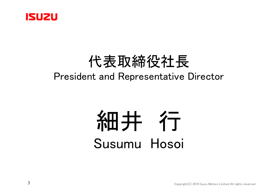

### 代表取締役社長President and Representative Director

## 細井<br>神井<br>Susumu Hoso Susumu Hosoi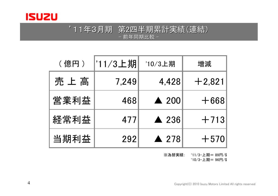

#### '11年3月期 第2四半期累計実績(連結)<br>- 前年同期比較 -前年同期比較 -

| (億円) | '11/3上期 | '10/3上期         | 増減       |
|------|---------|-----------------|----------|
| 売上高  | 7,249   | 4,428           | $+2,821$ |
| 営業利益 | 468     | $\triangle$ 200 | $+668$   |
| 経常利益 | 477     | <b>A</b> 236    | $+713$   |
| 当期利益 | 292     | $\triangle$ 278 | $+570$   |

※為替実績: '11/3-上期= 89円/\$ '10/3-上期= 96円/\$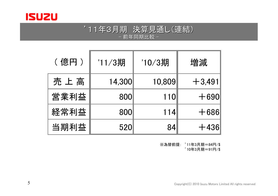

#### '11年3月期 決算見通し(連結)<br>- 前年同期比較 -前年同期比較 -

| (億円) | '11/3期 | '10/3期 | 増減       |
|------|--------|--------|----------|
| 売上高  | 14,300 | 10,809 | $+3,491$ |
| 営業利益 | 800    | 110    | $+690$   |
| 経常利益 | 800    | 114    | $+686$   |
| 当期利益 | 520    | 84     | $+436$   |

※為替前提: '11年3月期=84円/\$ '10年3月期=91円/\$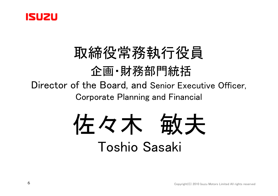

### 取締役常務執行役員企画・財務部門統括 Director of the Board, and Senior Executive Officer, Corporate Planning and Financial

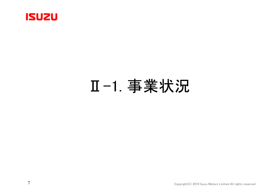

## Ⅱ-1. 事業状況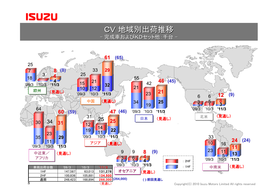

CV 地域別出荷推移- 完成車およびKDセット他:千台 <mark>-</mark>

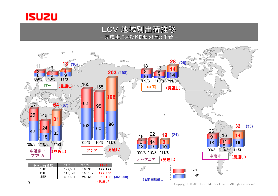

#### LCV 地域別出荷推移- 完成車およびKDセット他:千台 -

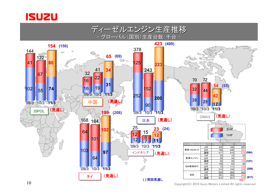



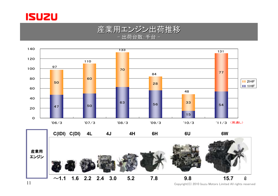

#### 産業用エンジン出荷推移- 出荷台数:千台 -

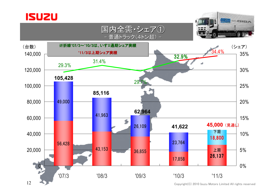





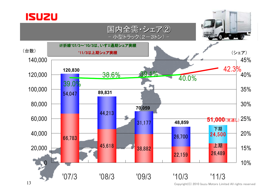

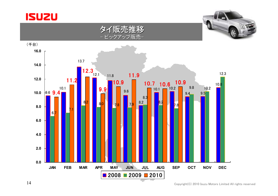

(千台)

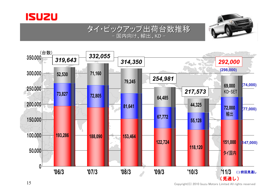





タイ・ピックアップ出荷台数推移

 $\mathsf{C}^\mathsf{D}{}$  . The copyright constant  $\mathsf{C}^\mathsf{D}{}$  copyright (C) 2010 Isuzu Motors Limited All rights reserved

(見通し)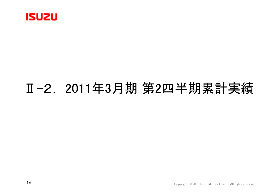

## Ⅱ-2. 2011年3月期 第2四半期累計実績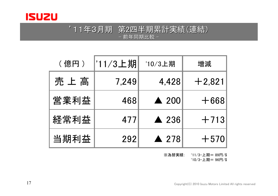

#### '11年3月期 第2四半期累計実績(連結)<br>- 前年同期比較 -前年同期比較 -

| (億円) | '11/3上期 | '10/3上期         | 増減       |
|------|---------|-----------------|----------|
| 売上高  | 7,249   | 4,428           | $+2,821$ |
| 営業利益 | 468     | $\triangle$ 200 | $+668$   |
| 経常利益 | 477     | <b>A</b> 236    | $+713$   |
| 当期利益 | 292     | $\triangle$ 278 | $+570$   |

※為替実績: '11/3-上期= 89円/\$ '10/3-上期= 96円/\$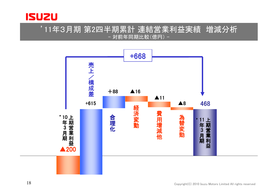

#### '11年3月期 第2四半期累計 連結営業利益実績 増減分析 - 対前年同期比較(億円) -

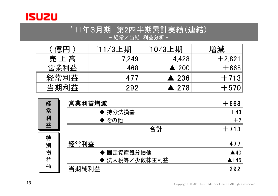

'11年3月期 第2四半期累計実績(連結)<br>- <sup>経常/当期 利益分析 -</sup> 経常/当期 利益分析 -

| 〔億円〕 | '11/3上期 | '10/3上期              | 増減       |
|------|---------|----------------------|----------|
| 売上高  | 7,249   | 4,428                | $+2,821$ |
| 営業利益 | 468     | $\triangle$ 200      | $+668$   |
| 経常利益 | 477     | $\triangle$ 236      | $+713$   |
| 当期利益 | 292     | $\blacktriangle$ 278 | $+570$   |
|      |         |                      |          |

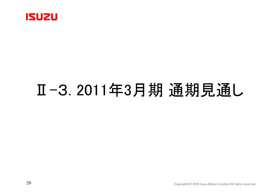

# Ⅱ-3. 2011年3月期 通期見通し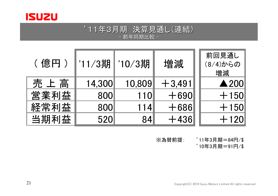

#### '11年3月期 決算見通し(連結)<br>- 前年同期比較 -- 前年同期比較 -

| (億円) | '11/3期 | '10/3期 | 増減       | 前回見通し<br>(8/4)からの<br>増減           |
|------|--------|--------|----------|-----------------------------------|
| 売上高  | 14,300 | 10,809 | $+3,491$ | $\triangle$ 200                   |
| 営業利益 | 800    | 110    | $+690$   | $+150$                            |
| 経常利益 | 800    | 114    | $+686$   | $+150$                            |
| 当期利益 | 520    | 84     | $+436$   | $+120$                            |
|      |        |        | ※為替前提:   | 711年3月期=84円/\$<br>'10在?日期三91円 /\$ |

'10年3月期=91円/\$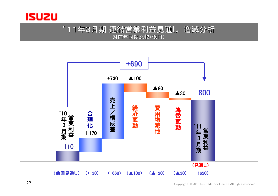

#### '11年3月期 連結営業利益見通し 増減分析 -対前年同期比較(億円) -

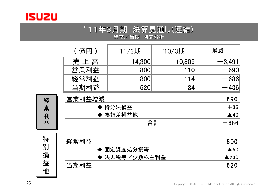

#### '11年3月期 決算見通し(連結)<br>- 経常/当期 利益分析 -- 経常/当期 利益分析 -<br>-

|                  | (億円)        | '11/3期        | '10/3期 | 増減       |  |
|------------------|-------------|---------------|--------|----------|--|
|                  | 売上高         | 14,300        | 10,809 | $+3,491$ |  |
|                  | 営業利益        | 800           | 110    | $+690$   |  |
|                  | 経常利益        | 800           | 114    | $+686$   |  |
|                  | 当期利益        | 520           | 84     | $+436$   |  |
| 経<br>常<br>利<br>益 | 営業利益増減      | $+690$        |        |          |  |
|                  |             | ♦ 持分法損益       |        |          |  |
|                  |             | 為替差損益他        |        |          |  |
|                  |             | 合計            |        |          |  |
| 特                |             |               |        | 800      |  |
|                  |             | 経常利益          |        |          |  |
| 別<br>損           |             | 固定資産処分損等      |        |          |  |
|                  |             | ◆ 法人税等/少数株主利益 |        |          |  |
| 益                | <b>当期利益</b> |               |        | につい      |  |

当期利益<u>益</u> 520

23

他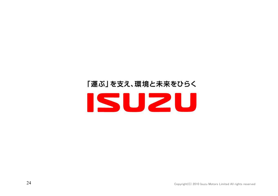## 「運ぶ」を支え、環境と未来をひらく ISUZU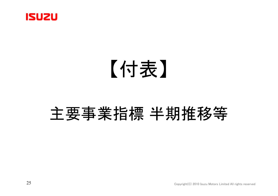

## 【付表】

# 主要事業指標 半期推移等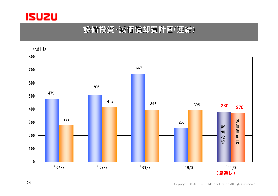

#### 設備投資・減価償却費計画(連結)

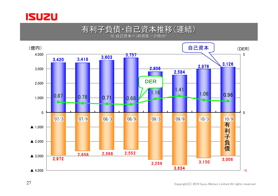

#### 有利子負債・自己資本推移(連結)※ 自己資本=(純資産一少持分)<br>-

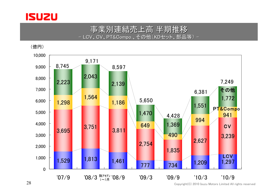

#### 事業別連結売上高 半期推移<br>/、CV、PT&Compo.、その他(KDセット、部品 - LCV、CV、PT&Compo.、その他(KDセット、部品等) -



Copyright(C) 2010 Isuzu Motors Limited All rights reserved

28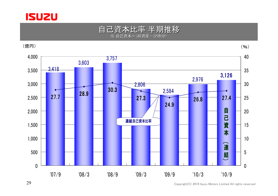



(億円)



Copyright(C) 2010 Isuzu Motors Limited All rights reserved

29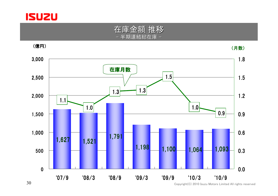



(億円)

(月数)

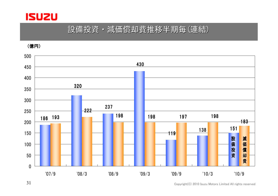

#### 設備投資・減価償却費推移半期毎(連結)

(億円)



31